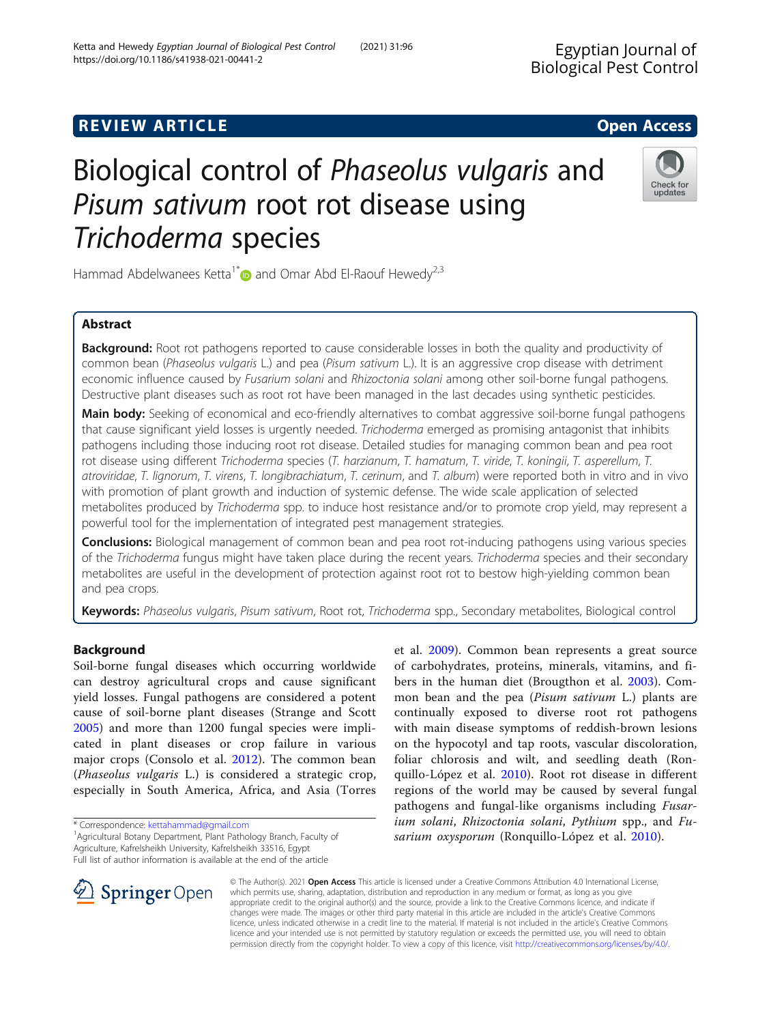# **REVIEW ARTICLE External intervention of the Community Community Community Community Community Community Community**

# Biological control of Phaseolus vulgaris and Pisum sativum root rot disease using Trichoderma species

Hammad Abdelwanees Ketta<sup>1\*</sup> and Omar Abd El-Raouf Hewedy<sup>2,3</sup>

# Abstract

**Background:** Root rot pathogens reported to cause considerable losses in both the quality and productivity of common bean (Phaseolus vulgaris L.) and pea (Pisum sativum L.). It is an aggressive crop disease with detriment economic influence caused by Fusarium solani and Rhizoctonia solani among other soil-borne fungal pathogens. Destructive plant diseases such as root rot have been managed in the last decades using synthetic pesticides.

Main body: Seeking of economical and eco-friendly alternatives to combat aggressive soil-borne fungal pathogens that cause significant yield losses is urgently needed. Trichoderma emerged as promising antagonist that inhibits pathogens including those inducing root rot disease. Detailed studies for managing common bean and pea root rot disease using different Trichoderma species (T. harzianum, T. hamatum, T. viride, T. koningii, T. asperellum, T. atroviridae, T. lignorum, T. virens, T. longibrachiatum, T. cerinum, and T. album) were reported both in vitro and in vivo with promotion of plant growth and induction of systemic defense. The wide scale application of selected metabolites produced by Trichoderma spp. to induce host resistance and/or to promote crop yield, may represent a powerful tool for the implementation of integrated pest management strategies.

Conclusions: Biological management of common bean and pea root rot-inducing pathogens using various species of the Trichoderma fungus might have taken place during the recent years. Trichoderma species and their secondary metabolites are useful in the development of protection against root rot to bestow high-yielding common bean and pea crops.

Keywords: Phaseolus vulgaris, Pisum sativum, Root rot, Trichoderma spp., Secondary metabolites, Biological control

# Background

Soil-borne fungal diseases which occurring worldwide can destroy agricultural crops and cause significant yield losses. Fungal pathogens are considered a potent cause of soil-borne plant diseases (Strange and Scott [2005\)](#page-8-0) and more than 1200 fungal species were implicated in plant diseases or crop failure in various major crops (Consolo et al. [2012](#page-8-0)). The common bean (Phaseolus vulgaris L.) is considered a strategic crop, especially in South America, Africa, and Asia (Torres

\* Correspondence: [kettahammad@gmail.com](mailto:kettahammad@gmail.com) <sup>1</sup>

<sup>1</sup> Agricultural Botany Department, Plant Pathology Branch, Faculty of Agriculture, Kafrelsheikh University, Kafrelsheikh 33516, Egypt Full list of author information is available at the end of the article

> © The Author(s). 2021 Open Access This article is licensed under a Creative Commons Attribution 4.0 International License, which permits use, sharing, adaptation, distribution and reproduction in any medium or format, as long as you give appropriate credit to the original author(s) and the source, provide a link to the Creative Commons licence, and indicate if changes were made. The images or other third party material in this article are included in the article's Creative Commons licence, unless indicated otherwise in a credit line to the material. If material is not included in the article's Creative Commons licence and your intended use is not permitted by statutory regulation or exceeds the permitted use, you will need to obtain permission directly from the copyright holder. To view a copy of this licence, visit <http://creativecommons.org/licenses/by/4.0/>.

et al. [2009](#page-8-0)). Common bean represents a great source of carbohydrates, proteins, minerals, vitamins, and fibers in the human diet (Brougthon et al. [2003](#page-8-0)). Common bean and the pea (Pisum sativum L.) plants are continually exposed to diverse root rot pathogens with main disease symptoms of reddish-brown lesions on the hypocotyl and tap roots, vascular discoloration, foliar chlorosis and wilt, and seedling death (Ronquillo-López et al. [2010](#page-8-0)). Root rot disease in different regions of the world may be caused by several fungal pathogens and fungal-like organisms including Fusarium solani, Rhizoctonia solani, Pythium spp., and Fusarium oxysporum (Ronquillo-López et al. [2010\)](#page-8-0).

Ketta and Hewedy Egyptian Journal of Biological Pest Control (2021) 31:96 https://doi.org/10.1186/s41938-021-00441-2



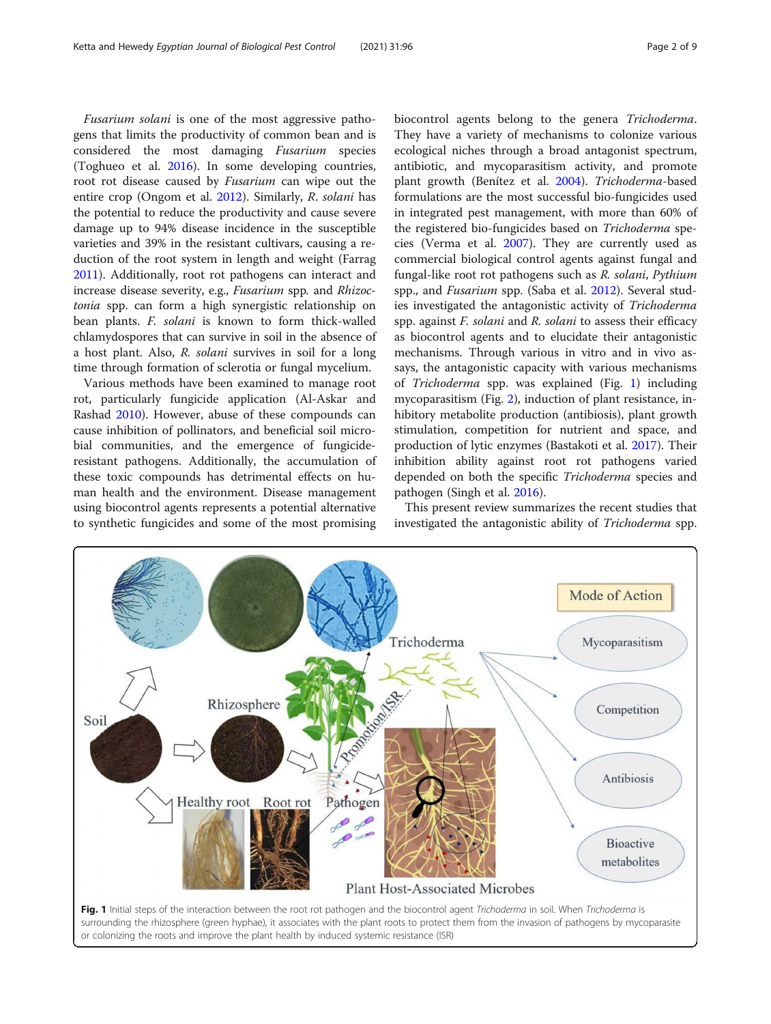Fusarium solani is one of the most aggressive pathogens that limits the productivity of common bean and is considered the most damaging Fusarium species (Toghueo et al. [2016](#page-8-0)). In some developing countries, root rot disease caused by Fusarium can wipe out the entire crop (Ongom et al. [2012](#page-8-0)). Similarly, R. solani has the potential to reduce the productivity and cause severe damage up to 94% disease incidence in the susceptible varieties and 39% in the resistant cultivars, causing a reduction of the root system in length and weight (Farrag [2011](#page-8-0)). Additionally, root rot pathogens can interact and increase disease severity, e.g., Fusarium spp. and Rhizoctonia spp. can form a high synergistic relationship on bean plants. F. solani is known to form thick-walled chlamydospores that can survive in soil in the absence of a host plant. Also, R. solani survives in soil for a long time through formation of sclerotia or fungal mycelium.

Various methods have been examined to manage root rot, particularly fungicide application (Al-Askar and Rashad [2010](#page-8-0)). However, abuse of these compounds can cause inhibition of pollinators, and beneficial soil microbial communities, and the emergence of fungicideresistant pathogens. Additionally, the accumulation of these toxic compounds has detrimental effects on human health and the environment. Disease management using biocontrol agents represents a potential alternative to synthetic fungicides and some of the most promising

biocontrol agents belong to the genera Trichoderma. They have a variety of mechanisms to colonize various ecological niches through a broad antagonist spectrum, antibiotic, and mycoparasitism activity, and promote plant growth (Benítez et al. [2004](#page-8-0)). Trichoderma-based formulations are the most successful bio-fungicides used in integrated pest management, with more than 60% of the registered bio-fungicides based on Trichoderma species (Verma et al. [2007\)](#page-8-0). They are currently used as commercial biological control agents against fungal and fungal-like root rot pathogens such as R. solani, Pythium spp., and *Fusarium* spp. (Saba et al. [2012](#page-8-0)). Several studies investigated the antagonistic activity of Trichoderma spp. against F. solani and R. solani to assess their efficacy as biocontrol agents and to elucidate their antagonistic mechanisms. Through various in vitro and in vivo assays, the antagonistic capacity with various mechanisms of Trichoderma spp. was explained (Fig. 1) including mycoparasitism (Fig. [2](#page-2-0)), induction of plant resistance, inhibitory metabolite production (antibiosis), plant growth stimulation, competition for nutrient and space, and production of lytic enzymes (Bastakoti et al. [2017\)](#page-8-0). Their inhibition ability against root rot pathogens varied depended on both the specific Trichoderma species and pathogen (Singh et al. [2016\)](#page-8-0).

This present review summarizes the recent studies that investigated the antagonistic ability of Trichoderma spp.

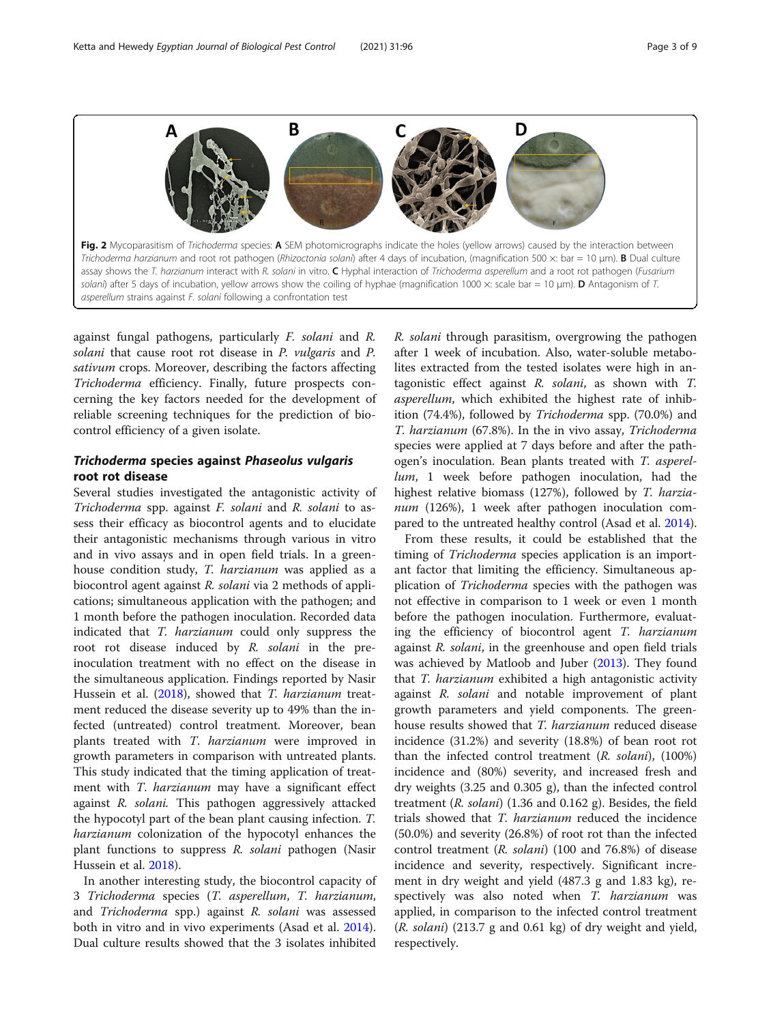<span id="page-2-0"></span>

against fungal pathogens, particularly F. solani and R. solani that cause root rot disease in P. vulgaris and P. sativum crops. Moreover, describing the factors affecting Trichoderma efficiency. Finally, future prospects concerning the key factors needed for the development of reliable screening techniques for the prediction of biocontrol efficiency of a given isolate.

# Trichoderma species against Phaseolus vulgaris root rot disease

Several studies investigated the antagonistic activity of Trichoderma spp. against F. solani and R. solani to assess their efficacy as biocontrol agents and to elucidate their antagonistic mechanisms through various in vitro and in vivo assays and in open field trials. In a greenhouse condition study, T. harzianum was applied as a biocontrol agent against R. solani via 2 methods of applications; simultaneous application with the pathogen; and 1 month before the pathogen inoculation. Recorded data indicated that T. harzianum could only suppress the root rot disease induced by R. solani in the preinoculation treatment with no effect on the disease in the simultaneous application. Findings reported by Nasir Hussein et al. [\(2018\)](#page-8-0), showed that *T. harzianum* treatment reduced the disease severity up to 49% than the infected (untreated) control treatment. Moreover, bean plants treated with T. harzianum were improved in growth parameters in comparison with untreated plants. This study indicated that the timing application of treatment with *T. harzianum* may have a significant effect against R. solani. This pathogen aggressively attacked the hypocotyl part of the bean plant causing infection. T. harzianum colonization of the hypocotyl enhances the plant functions to suppress R. solani pathogen (Nasir Hussein et al. [2018\)](#page-8-0).

In another interesting study, the biocontrol capacity of 3 Trichoderma species (T. asperellum, T. harzianum, and Trichoderma spp.) against R. solani was assessed both in vitro and in vivo experiments (Asad et al. [2014](#page-8-0)). Dual culture results showed that the 3 isolates inhibited

R. solani through parasitism, overgrowing the pathogen after 1 week of incubation. Also, water-soluble metabolites extracted from the tested isolates were high in antagonistic effect against R. solani, as shown with T. asperellum, which exhibited the highest rate of inhibition (74.4%), followed by Trichoderma spp. (70.0%) and T. harzianum (67.8%). In the in vivo assay, Trichoderma species were applied at 7 days before and after the pathogen's inoculation. Bean plants treated with T. asperellum, 1 week before pathogen inoculation, had the highest relative biomass (127%), followed by T. harzianum (126%), 1 week after pathogen inoculation compared to the untreated healthy control (Asad et al. [2014](#page-8-0)).

From these results, it could be established that the timing of *Trichoderma* species application is an important factor that limiting the efficiency. Simultaneous application of *Trichoderma* species with the pathogen was not effective in comparison to 1 week or even 1 month before the pathogen inoculation. Furthermore, evaluating the efficiency of biocontrol agent T. harzianum against R. solani, in the greenhouse and open field trials was achieved by Matloob and Juber [\(2013](#page-8-0)). They found that *T. harzianum* exhibited a high antagonistic activity against R. solani and notable improvement of plant growth parameters and yield components. The greenhouse results showed that *T. harzianum* reduced disease incidence (31.2%) and severity (18.8%) of bean root rot than the infected control treatment (R. solani), (100%) incidence and (80%) severity, and increased fresh and dry weights (3.25 and 0.305 g), than the infected control treatment (R. solani) (1.36 and 0.162 g). Besides, the field trials showed that T. harzianum reduced the incidence (50.0%) and severity (26.8%) of root rot than the infected control treatment (R. solani) (100 and 76.8%) of disease incidence and severity, respectively. Significant increment in dry weight and yield (487.3 g and 1.83 kg), respectively was also noted when T. harzianum was applied, in comparison to the infected control treatment (R. solani) (213.7 g and 0.61 kg) of dry weight and yield, respectively.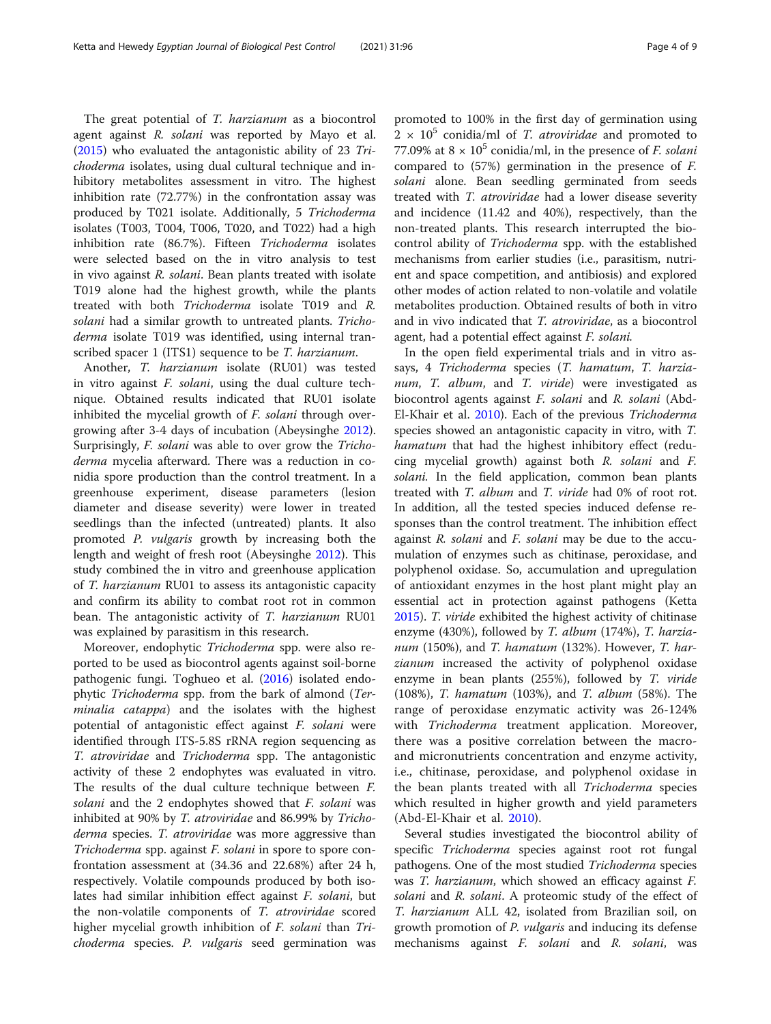The great potential of T. harzianum as a biocontrol agent against R. solani was reported by Mayo et al. ([2015](#page-8-0)) who evaluated the antagonistic ability of 23 Trichoderma isolates, using dual cultural technique and inhibitory metabolites assessment in vitro. The highest inhibition rate (72.77%) in the confrontation assay was produced by T021 isolate. Additionally, 5 Trichoderma isolates (T003, T004, T006, T020, and T022) had a high inhibition rate (86.7%). Fifteen Trichoderma isolates were selected based on the in vitro analysis to test in vivo against R. solani. Bean plants treated with isolate T019 alone had the highest growth, while the plants treated with both Trichoderma isolate T019 and R. solani had a similar growth to untreated plants. Trichoderma isolate T019 was identified, using internal transcribed spacer 1 (ITS1) sequence to be *T. harzianum*.

Another, T. harzianum isolate (RU01) was tested in vitro against *F. solani*, using the dual culture technique. Obtained results indicated that RU01 isolate inhibited the mycelial growth of *F. solani* through overgrowing after 3-4 days of incubation (Abeysinghe [2012](#page-8-0)). Surprisingly, F. solani was able to over grow the Trichoderma mycelia afterward. There was a reduction in conidia spore production than the control treatment. In a greenhouse experiment, disease parameters (lesion diameter and disease severity) were lower in treated seedlings than the infected (untreated) plants. It also promoted P. vulgaris growth by increasing both the length and weight of fresh root (Abeysinghe [2012\)](#page-8-0). This study combined the in vitro and greenhouse application of T. harzianum RU01 to assess its antagonistic capacity and confirm its ability to combat root rot in common bean. The antagonistic activity of T. harzianum RU01 was explained by parasitism in this research.

Moreover, endophytic Trichoderma spp. were also reported to be used as biocontrol agents against soil-borne pathogenic fungi. Toghueo et al. ([2016](#page-8-0)) isolated endophytic Trichoderma spp. from the bark of almond (Terminalia catappa) and the isolates with the highest potential of antagonistic effect against F. solani were identified through ITS-5.8S rRNA region sequencing as T. atroviridae and Trichoderma spp. The antagonistic activity of these 2 endophytes was evaluated in vitro. The results of the dual culture technique between F. solani and the 2 endophytes showed that F. solani was inhibited at 90% by T. atroviridae and 86.99% by Trichoderma species. T. atroviridae was more aggressive than Trichoderma spp. against F. solani in spore to spore confrontation assessment at (34.36 and 22.68%) after 24 h, respectively. Volatile compounds produced by both isolates had similar inhibition effect against F. solani, but the non-volatile components of T. atroviridae scored higher mycelial growth inhibition of *F. solani* than *Tri*choderma species. P. vulgaris seed germination was promoted to 100% in the first day of germination using  $2 \times 10^5$  conidia/ml of *T. atroviridae* and promoted to 77.09% at  $8 \times 10^5$  conidia/ml, in the presence of *F. solani* compared to (57%) germination in the presence of F. solani alone. Bean seedling germinated from seeds treated with T. atroviridae had a lower disease severity and incidence (11.42 and 40%), respectively, than the non-treated plants. This research interrupted the biocontrol ability of Trichoderma spp. with the established mechanisms from earlier studies (i.e., parasitism, nutrient and space competition, and antibiosis) and explored other modes of action related to non-volatile and volatile metabolites production. Obtained results of both in vitro and in vivo indicated that T. atroviridae, as a biocontrol agent, had a potential effect against F. solani.

In the open field experimental trials and in vitro assays, 4 Trichoderma species (T. hamatum, T. harzianum, T. album, and T. viride) were investigated as biocontrol agents against F. solani and R. solani (Abd-El-Khair et al. [2010\)](#page-8-0). Each of the previous Trichoderma species showed an antagonistic capacity in vitro, with T. hamatum that had the highest inhibitory effect (reducing mycelial growth) against both R. solani and F. solani. In the field application, common bean plants treated with T. album and T. viride had 0% of root rot. In addition, all the tested species induced defense responses than the control treatment. The inhibition effect against R. solani and F. solani may be due to the accumulation of enzymes such as chitinase, peroxidase, and polyphenol oxidase. So, accumulation and upregulation of antioxidant enzymes in the host plant might play an essential act in protection against pathogens (Ketta [2015](#page-8-0)). T. viride exhibited the highest activity of chitinase enzyme (430%), followed by T. album (174%), T. harzianum (150%), and T. hamatum (132%). However, T. harzianum increased the activity of polyphenol oxidase enzyme in bean plants (255%), followed by T. viride (108%), T. hamatum (103%), and T. album (58%). The range of peroxidase enzymatic activity was 26-124% with Trichoderma treatment application. Moreover, there was a positive correlation between the macroand micronutrients concentration and enzyme activity, i.e., chitinase, peroxidase, and polyphenol oxidase in the bean plants treated with all Trichoderma species which resulted in higher growth and yield parameters (Abd-El-Khair et al. [2010\)](#page-8-0).

Several studies investigated the biocontrol ability of specific Trichoderma species against root rot fungal pathogens. One of the most studied Trichoderma species was T. harzianum, which showed an efficacy against F. solani and R. solani. A proteomic study of the effect of T. harzianum ALL 42, isolated from Brazilian soil, on growth promotion of *P. vulgaris* and inducing its defense mechanisms against F. solani and R. solani, was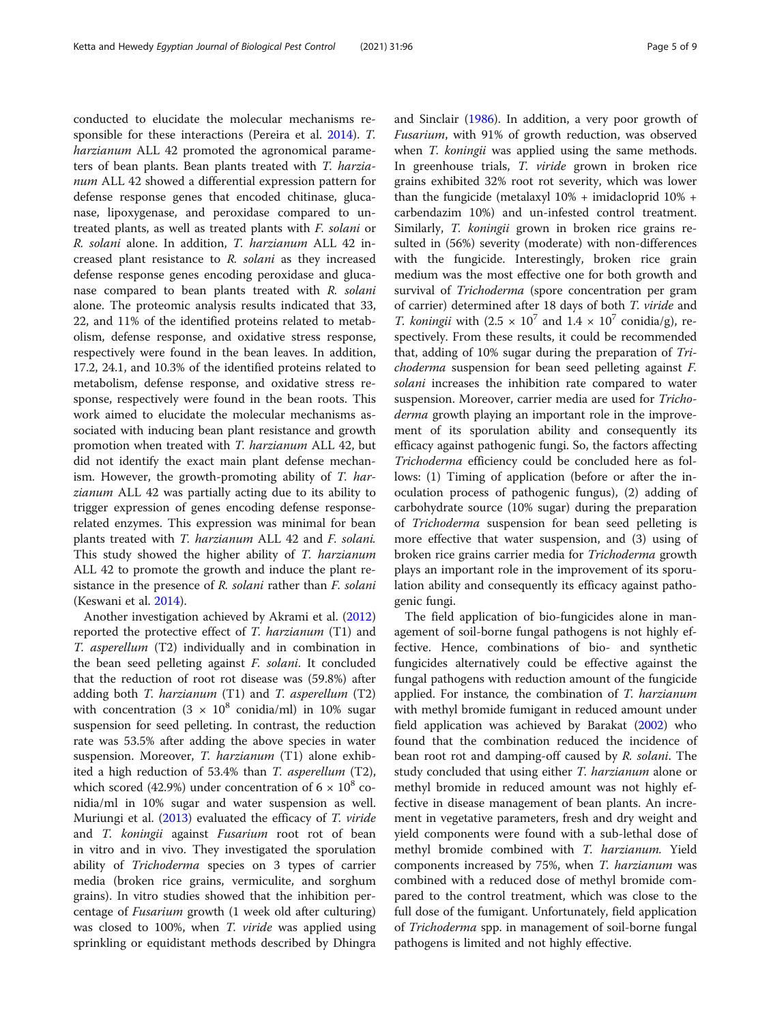conducted to elucidate the molecular mechanisms responsible for these interactions (Pereira et al. [2014\)](#page-8-0). T. harzianum ALL 42 promoted the agronomical parameters of bean plants. Bean plants treated with T. harzianum ALL 42 showed a differential expression pattern for defense response genes that encoded chitinase, glucanase, lipoxygenase, and peroxidase compared to untreated plants, as well as treated plants with F. solani or R. solani alone. In addition, T. harzianum ALL 42 increased plant resistance to R. solani as they increased defense response genes encoding peroxidase and glucanase compared to bean plants treated with R. solani alone. The proteomic analysis results indicated that 33, 22, and 11% of the identified proteins related to metabolism, defense response, and oxidative stress response, respectively were found in the bean leaves. In addition, 17.2, 24.1, and 10.3% of the identified proteins related to metabolism, defense response, and oxidative stress response, respectively were found in the bean roots. This work aimed to elucidate the molecular mechanisms associated with inducing bean plant resistance and growth promotion when treated with T. harzianum ALL 42, but did not identify the exact main plant defense mechanism. However, the growth-promoting ability of T. harzianum ALL 42 was partially acting due to its ability to trigger expression of genes encoding defense responserelated enzymes. This expression was minimal for bean plants treated with T. harzianum ALL 42 and F. solani. This study showed the higher ability of T. harzianum ALL 42 to promote the growth and induce the plant resistance in the presence of R. solani rather than F. solani (Keswani et al. [2014\)](#page-8-0).

Another investigation achieved by Akrami et al. ([2012](#page-8-0)) reported the protective effect of T. harzianum (T1) and T. asperellum (T2) individually and in combination in the bean seed pelleting against F. solani. It concluded that the reduction of root rot disease was (59.8%) after adding both  $T.$  harzianum (T1) and  $T.$  asperellum (T2) with concentration  $(3 \times 10^8 \text{ conidia/ml})$  in 10% sugar suspension for seed pelleting. In contrast, the reduction rate was 53.5% after adding the above species in water suspension. Moreover, T. harzianum (T1) alone exhibited a high reduction of 53.4% than T. asperellum (T2), which scored (42.9%) under concentration of  $6 \times 10^8$  conidia/ml in 10% sugar and water suspension as well. Muriungi et al. ([2013](#page-8-0)) evaluated the efficacy of T. viride and T. koningii against Fusarium root rot of bean in vitro and in vivo. They investigated the sporulation ability of Trichoderma species on 3 types of carrier media (broken rice grains, vermiculite, and sorghum grains). In vitro studies showed that the inhibition percentage of Fusarium growth (1 week old after culturing) was closed to 100%, when *T. viride* was applied using sprinkling or equidistant methods described by Dhingra and Sinclair [\(1986\)](#page-8-0). In addition, a very poor growth of Fusarium, with 91% of growth reduction, was observed when *T. koningii* was applied using the same methods. In greenhouse trials, T. viride grown in broken rice grains exhibited 32% root rot severity, which was lower than the fungicide (metalaxyl  $10\%$  + imidacloprid  $10\%$  + carbendazim 10%) and un-infested control treatment. Similarly, T. koningii grown in broken rice grains resulted in (56%) severity (moderate) with non-differences with the fungicide. Interestingly, broken rice grain medium was the most effective one for both growth and survival of *Trichoderma* (spore concentration per gram of carrier) determined after 18 days of both T. viride and *T. koningii* with  $(2.5 \times 10^7 \text{ and } 1.4 \times 10^7 \text{ conidia/g})$ , respectively. From these results, it could be recommended that, adding of 10% sugar during the preparation of Trichoderma suspension for bean seed pelleting against F. solani increases the inhibition rate compared to water suspension. Moreover, carrier media are used for Trichoderma growth playing an important role in the improvement of its sporulation ability and consequently its efficacy against pathogenic fungi. So, the factors affecting Trichoderma efficiency could be concluded here as follows: (1) Timing of application (before or after the inoculation process of pathogenic fungus), (2) adding of carbohydrate source (10% sugar) during the preparation of Trichoderma suspension for bean seed pelleting is more effective that water suspension, and (3) using of broken rice grains carrier media for Trichoderma growth plays an important role in the improvement of its sporulation ability and consequently its efficacy against pathogenic fungi.

The field application of bio-fungicides alone in management of soil-borne fungal pathogens is not highly effective. Hence, combinations of bio- and synthetic fungicides alternatively could be effective against the fungal pathogens with reduction amount of the fungicide applied. For instance, the combination of T. harzianum with methyl bromide fumigant in reduced amount under field application was achieved by Barakat [\(2002\)](#page-8-0) who found that the combination reduced the incidence of bean root rot and damping-off caused by R. solani. The study concluded that using either T. harzianum alone or methyl bromide in reduced amount was not highly effective in disease management of bean plants. An increment in vegetative parameters, fresh and dry weight and yield components were found with a sub-lethal dose of methyl bromide combined with T. harzianum. Yield components increased by 75%, when T. harzianum was combined with a reduced dose of methyl bromide compared to the control treatment, which was close to the full dose of the fumigant. Unfortunately, field application of Trichoderma spp. in management of soil-borne fungal pathogens is limited and not highly effective.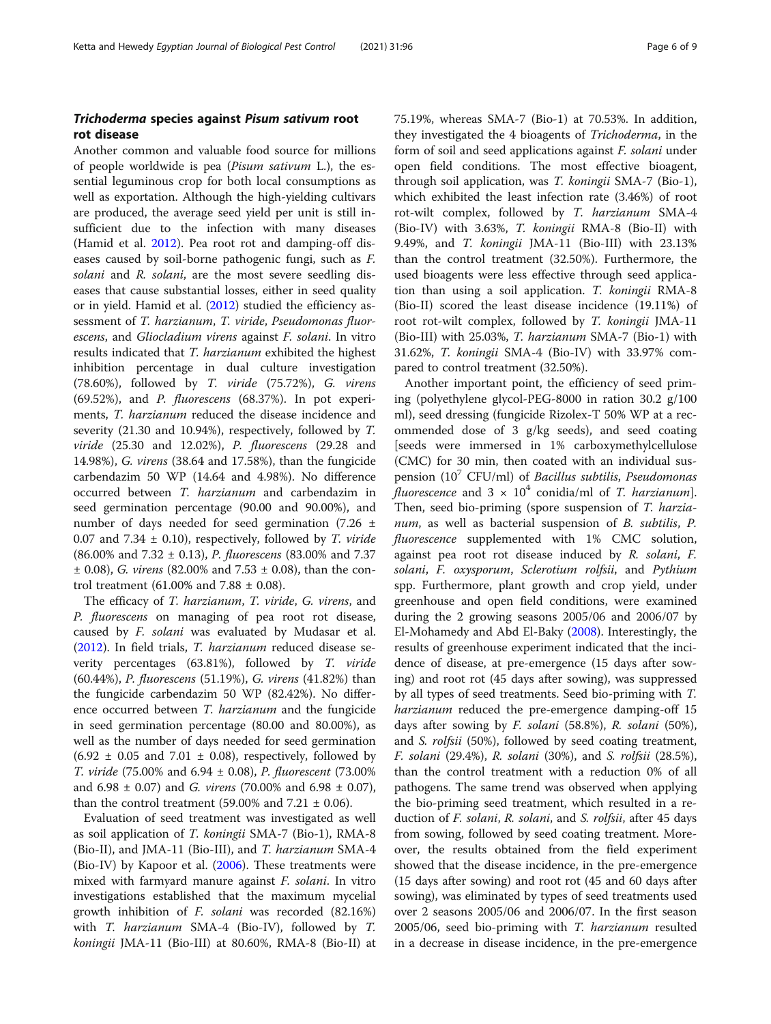## Trichoderma species against Pisum sativum root rot disease

Another common and valuable food source for millions of people worldwide is pea (Pisum sativum L.), the essential leguminous crop for both local consumptions as well as exportation. Although the high-yielding cultivars are produced, the average seed yield per unit is still insufficient due to the infection with many diseases (Hamid et al. [2012\)](#page-8-0). Pea root rot and damping-off diseases caused by soil-borne pathogenic fungi, such as F. solani and R. solani, are the most severe seedling diseases that cause substantial losses, either in seed quality or in yield. Hamid et al. [\(2012\)](#page-8-0) studied the efficiency assessment of T. harzianum, T. viride, Pseudomonas fluorescens, and Gliocladium virens against F. solani. In vitro results indicated that T. harzianum exhibited the highest inhibition percentage in dual culture investigation (78.60%), followed by T. viride (75.72%), G. virens (69.52%), and P. fluorescens (68.37%). In pot experiments, T. harzianum reduced the disease incidence and severity (21.30 and 10.94%), respectively, followed by T. viride (25.30 and 12.02%), P. fluorescens (29.28 and 14.98%), G. virens (38.64 and 17.58%), than the fungicide carbendazim 50 WP (14.64 and 4.98%). No difference occurred between T. harzianum and carbendazim in seed germination percentage (90.00 and 90.00%), and number of days needed for seed germination (7.26 ± 0.07 and 7.34  $\pm$  0.10), respectively, followed by *T. viride* (86.00% and 7.32 ± 0.13), P. fluorescens (83.00% and 7.37  $\pm$  0.08), *G. virens* (82.00% and 7.53  $\pm$  0.08), than the control treatment (61.00% and  $7.88 \pm 0.08$ ).

The efficacy of T. harzianum, T. viride, G. virens, and P. fluorescens on managing of pea root rot disease, caused by F. solani was evaluated by Mudasar et al. ([2012](#page-8-0)). In field trials, T. harzianum reduced disease severity percentages (63.81%), followed by T. viride (60.44%), P. fluorescens (51.19%), G. virens (41.82%) than the fungicide carbendazim 50 WP (82.42%). No difference occurred between T. harzianum and the fungicide in seed germination percentage (80.00 and 80.00%), as well as the number of days needed for seed germination  $(6.92 \pm 0.05$  and  $7.01 \pm 0.08)$ , respectively, followed by T. viride (75.00% and 6.94 ± 0.08), P. fluorescent (73.00% and 6.98  $\pm$  0.07) and *G. virens* (70.00% and 6.98  $\pm$  0.07), than the control treatment (59.00% and  $7.21 \pm 0.06$ ).

Evaluation of seed treatment was investigated as well as soil application of T. koningii SMA-7 (Bio-1), RMA-8 (Bio-II), and JMA-11 (Bio-III), and T. harzianum SMA-4 (Bio-IV) by Kapoor et al. [\(2006\)](#page-8-0). These treatments were mixed with farmyard manure against F. solani. In vitro investigations established that the maximum mycelial growth inhibition of F. solani was recorded (82.16%) with *T. harzianum* SMA-4 (Bio-IV), followed by *T.* koningii JMA-11 (Bio-III) at 80.60%, RMA-8 (Bio-II) at 75.19%, whereas SMA-7 (Bio-1) at 70.53%. In addition, they investigated the 4 bioagents of Trichoderma, in the form of soil and seed applications against F. solani under open field conditions. The most effective bioagent, through soil application, was T. koningii SMA-7 (Bio-1), which exhibited the least infection rate (3.46%) of root rot-wilt complex, followed by T. harzianum SMA-4 (Bio-IV) with 3.63%, T. koningii RMA-8 (Bio-II) with 9.49%, and T. koningii JMA-11 (Bio-III) with 23.13% than the control treatment (32.50%). Furthermore, the used bioagents were less effective through seed application than using a soil application. T. koningii RMA-8 (Bio-II) scored the least disease incidence (19.11%) of root rot-wilt complex, followed by T. koningii JMA-11 (Bio-III) with 25.03%, T. harzianum SMA-7 (Bio-1) with 31.62%, T. koningii SMA-4 (Bio-IV) with 33.97% compared to control treatment (32.50%).

Another important point, the efficiency of seed priming (polyethylene glycol-PEG-8000 in ration 30.2 g/100 ml), seed dressing (fungicide Rizolex-T 50% WP at a recommended dose of 3 g/kg seeds), and seed coating [seeds were immersed in 1% carboxymethylcellulose (CMC) for 30 min, then coated with an individual suspension  $(10^7 \text{ CFU/ml})$  of *Bacillus subtilis, Pseudomonas fluorescence* and  $3 \times 10^4$  conidia/ml of T. *harzianum*]. Then, seed bio-priming (spore suspension of T. harzianum, as well as bacterial suspension of B. subtilis, P. fluorescence supplemented with 1% CMC solution, against pea root rot disease induced by R. solani, F. solani, F. oxysporum, Sclerotium rolfsii, and Pythium spp. Furthermore, plant growth and crop yield, under greenhouse and open field conditions, were examined during the 2 growing seasons 2005/06 and 2006/07 by El-Mohamedy and Abd El-Baky ([2008](#page-8-0)). Interestingly, the results of greenhouse experiment indicated that the incidence of disease, at pre-emergence (15 days after sowing) and root rot (45 days after sowing), was suppressed by all types of seed treatments. Seed bio-priming with T. harzianum reduced the pre-emergence damping-off 15 days after sowing by F. solani (58.8%), R. solani (50%), and S. rolfsii (50%), followed by seed coating treatment, F. solani (29.4%), R. solani (30%), and S. rolfsii (28.5%), than the control treatment with a reduction 0% of all pathogens. The same trend was observed when applying the bio-priming seed treatment, which resulted in a reduction of *F. solani, R. solani,* and *S. rolfsii,* after 45 days from sowing, followed by seed coating treatment. Moreover, the results obtained from the field experiment showed that the disease incidence, in the pre-emergence (15 days after sowing) and root rot (45 and 60 days after sowing), was eliminated by types of seed treatments used over 2 seasons 2005/06 and 2006/07. In the first season 2005/06, seed bio-priming with T. harzianum resulted in a decrease in disease incidence, in the pre-emergence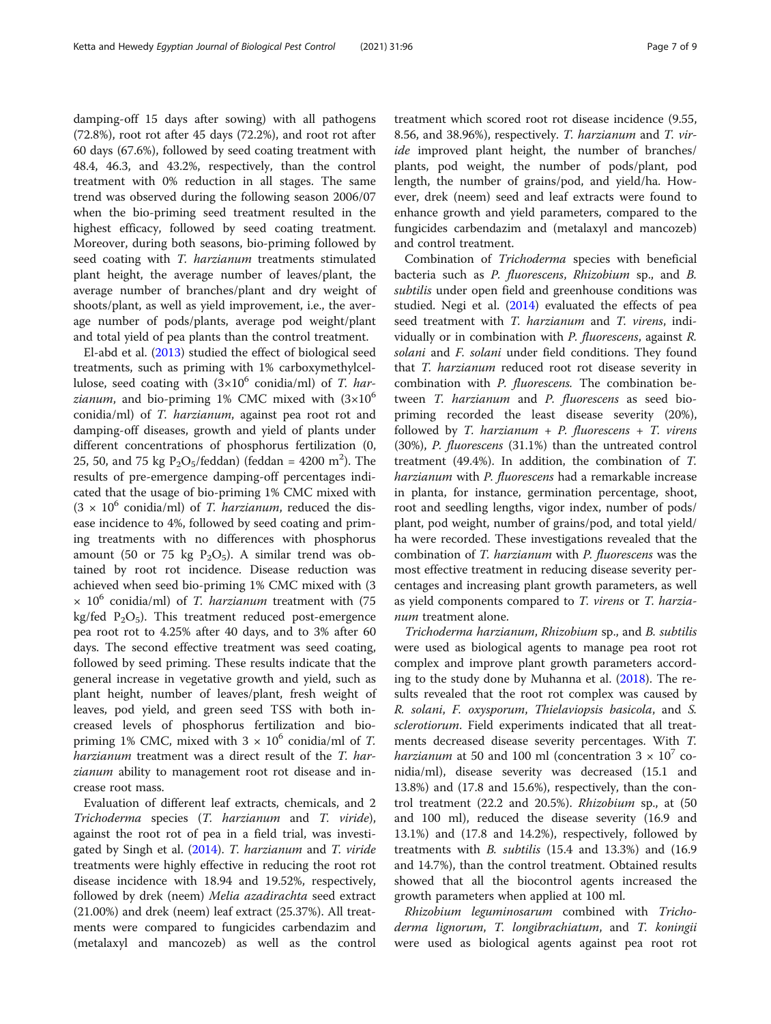damping-off 15 days after sowing) with all pathogens (72.8%), root rot after 45 days (72.2%), and root rot after 60 days (67.6%), followed by seed coating treatment with 48.4, 46.3, and 43.2%, respectively, than the control treatment with 0% reduction in all stages. The same trend was observed during the following season 2006/07 when the bio-priming seed treatment resulted in the highest efficacy, followed by seed coating treatment. Moreover, during both seasons, bio-priming followed by seed coating with T. harzianum treatments stimulated plant height, the average number of leaves/plant, the average number of branches/plant and dry weight of shoots/plant, as well as yield improvement, i.e., the average number of pods/plants, average pod weight/plant and total yield of pea plants than the control treatment.

El-abd et al. [\(2013\)](#page-8-0) studied the effect of biological seed treatments, such as priming with 1% carboxymethylcellulose, seed coating with  $(3\times10^6 \text{ conidian/ml})$  of T. har*zianum*, and bio-priming 1% CMC mixed with  $(3\times10^{6}$ conidia/ml) of T. harzianum, against pea root rot and damping-off diseases, growth and yield of plants under different concentrations of phosphorus fertilization (0, 25, 50, and 75 kg  $P_2O_5$ /feddan) (feddan = 4200 m<sup>2</sup>). The results of pre-emergence damping-off percentages indicated that the usage of bio-priming 1% CMC mixed with  $(3 \times 10^6 \text{ conidian/ml})$  of *T. harzianum*, reduced the disease incidence to 4%, followed by seed coating and priming treatments with no differences with phosphorus amount (50 or 75 kg  $P_2O_5$ ). A similar trend was obtained by root rot incidence. Disease reduction was achieved when seed bio-priming 1% CMC mixed with (3  $\times$  10<sup>6</sup> conidia/ml) of *T. harzianum* treatment with (75 kg/fed  $P_2O_5$ ). This treatment reduced post-emergence pea root rot to 4.25% after 40 days, and to 3% after 60 days. The second effective treatment was seed coating, followed by seed priming. These results indicate that the general increase in vegetative growth and yield, such as plant height, number of leaves/plant, fresh weight of leaves, pod yield, and green seed TSS with both increased levels of phosphorus fertilization and biopriming 1% CMC, mixed with  $3 \times 10^6$  conidia/ml of T. harzianum treatment was a direct result of the T. harzianum ability to management root rot disease and increase root mass.

Evaluation of different leaf extracts, chemicals, and 2 Trichoderma species (T. harzianum and T. viride), against the root rot of pea in a field trial, was investigated by Singh et al. [\(2014](#page-8-0)). T. harzianum and T. viride treatments were highly effective in reducing the root rot disease incidence with 18.94 and 19.52%, respectively, followed by drek (neem) Melia azadirachta seed extract (21.00%) and drek (neem) leaf extract (25.37%). All treatments were compared to fungicides carbendazim and (metalaxyl and mancozeb) as well as the control

treatment which scored root rot disease incidence (9.55, 8.56, and 38.96%), respectively. T. harzianum and T. viride improved plant height, the number of branches/ plants, pod weight, the number of pods/plant, pod length, the number of grains/pod, and yield/ha. However, drek (neem) seed and leaf extracts were found to enhance growth and yield parameters, compared to the fungicides carbendazim and (metalaxyl and mancozeb) and control treatment.

Combination of Trichoderma species with beneficial bacteria such as P. fluorescens, Rhizobium sp., and B. subtilis under open field and greenhouse conditions was studied. Negi et al. ([2014](#page-8-0)) evaluated the effects of pea seed treatment with T. harzianum and T. virens, individually or in combination with P. fluorescens, against R. solani and F. solani under field conditions. They found that T. harzianum reduced root rot disease severity in combination with P. fluorescens. The combination between T. harzianum and P. fluorescens as seed biopriming recorded the least disease severity (20%), followed by T. harzianum + P. fluorescens + T. virens (30%), P. fluorescens (31.1%) than the untreated control treatment (49.4%). In addition, the combination of T. harzianum with P. fluorescens had a remarkable increase in planta, for instance, germination percentage, shoot, root and seedling lengths, vigor index, number of pods/ plant, pod weight, number of grains/pod, and total yield/ ha were recorded. These investigations revealed that the combination of T. harzianum with P. fluorescens was the most effective treatment in reducing disease severity percentages and increasing plant growth parameters, as well as yield components compared to T. virens or T. harzianum treatment alone.

Trichoderma harzianum, Rhizobium sp., and B. subtilis were used as biological agents to manage pea root rot complex and improve plant growth parameters according to the study done by Muhanna et al. [\(2018\)](#page-8-0). The results revealed that the root rot complex was caused by R. solani, F. oxysporum, Thielaviopsis basicola, and S. sclerotiorum. Field experiments indicated that all treatments decreased disease severity percentages. With T. *harzianum* at 50 and 100 ml (concentration  $3 \times 10^{7}$  conidia/ml), disease severity was decreased (15.1 and 13.8%) and (17.8 and 15.6%), respectively, than the control treatment (22.2 and 20.5%). Rhizobium sp., at (50 and 100 ml), reduced the disease severity (16.9 and 13.1%) and (17.8 and 14.2%), respectively, followed by treatments with B. subtilis (15.4 and 13.3%) and (16.9 and 14.7%), than the control treatment. Obtained results showed that all the biocontrol agents increased the growth parameters when applied at 100 ml.

Rhizobium leguminosarum combined with Trichoderma lignorum, T. longibrachiatum, and T. koningii were used as biological agents against pea root rot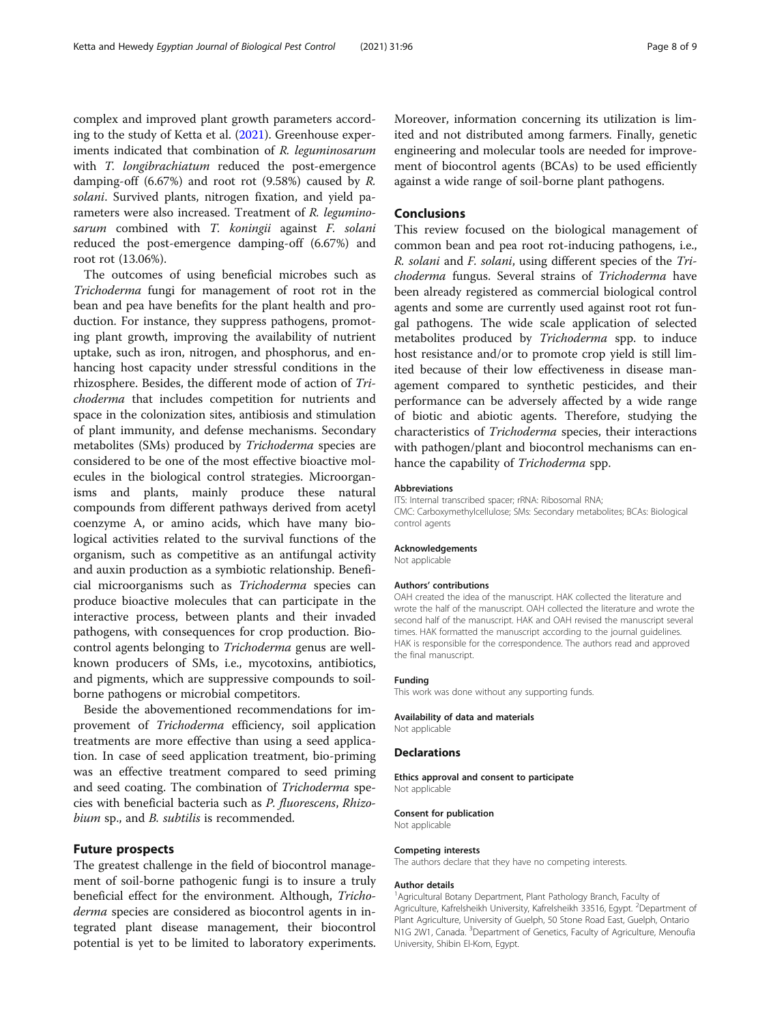complex and improved plant growth parameters according to the study of Ketta et al. ([2021](#page-8-0)). Greenhouse experiments indicated that combination of R. leguminosarum with *T. longibrachiatum* reduced the post-emergence damping-off (6.67%) and root rot (9.58%) caused by R. solani. Survived plants, nitrogen fixation, and yield parameters were also increased. Treatment of R. leguminosarum combined with T. koningii against F. solani reduced the post-emergence damping-off (6.67%) and root rot (13.06%).

The outcomes of using beneficial microbes such as Trichoderma fungi for management of root rot in the bean and pea have benefits for the plant health and production. For instance, they suppress pathogens, promoting plant growth, improving the availability of nutrient uptake, such as iron, nitrogen, and phosphorus, and enhancing host capacity under stressful conditions in the rhizosphere. Besides, the different mode of action of Trichoderma that includes competition for nutrients and space in the colonization sites, antibiosis and stimulation of plant immunity, and defense mechanisms. Secondary metabolites (SMs) produced by Trichoderma species are considered to be one of the most effective bioactive molecules in the biological control strategies. Microorganisms and plants, mainly produce these natural compounds from different pathways derived from acetyl coenzyme A, or amino acids, which have many biological activities related to the survival functions of the organism, such as competitive as an antifungal activity and auxin production as a symbiotic relationship. Beneficial microorganisms such as Trichoderma species can produce bioactive molecules that can participate in the interactive process, between plants and their invaded pathogens, with consequences for crop production. Biocontrol agents belonging to Trichoderma genus are wellknown producers of SMs, i.e., mycotoxins, antibiotics, and pigments, which are suppressive compounds to soilborne pathogens or microbial competitors.

Beside the abovementioned recommendations for improvement of Trichoderma efficiency, soil application treatments are more effective than using a seed application. In case of seed application treatment, bio-priming was an effective treatment compared to seed priming and seed coating. The combination of Trichoderma species with beneficial bacteria such as P. fluorescens, Rhizobium sp., and *B. subtilis* is recommended.

#### Future prospects

The greatest challenge in the field of biocontrol management of soil-borne pathogenic fungi is to insure a truly beneficial effect for the environment. Although, Trichoderma species are considered as biocontrol agents in integrated plant disease management, their biocontrol potential is yet to be limited to laboratory experiments.

Moreover, information concerning its utilization is limited and not distributed among farmers. Finally, genetic engineering and molecular tools are needed for improvement of biocontrol agents (BCAs) to be used efficiently against a wide range of soil-borne plant pathogens.

#### Conclusions

This review focused on the biological management of common bean and pea root rot-inducing pathogens, i.e., R. solani and F. solani, using different species of the Trichoderma fungus. Several strains of Trichoderma have been already registered as commercial biological control agents and some are currently used against root rot fungal pathogens. The wide scale application of selected metabolites produced by Trichoderma spp. to induce host resistance and/or to promote crop yield is still limited because of their low effectiveness in disease management compared to synthetic pesticides, and their performance can be adversely affected by a wide range of biotic and abiotic agents. Therefore, studying the characteristics of Trichoderma species, their interactions with pathogen/plant and biocontrol mechanisms can enhance the capability of Trichoderma spp.

#### Abbreviations

ITS: Internal transcribed spacer; rRNA: Ribosomal RNA; CMC: Carboxymethylcellulose; SMs: Secondary metabolites; BCAs: Biological control agents

#### Acknowledgements

Not applicable

#### Authors' contributions

OAH created the idea of the manuscript. HAK collected the literature and wrote the half of the manuscript. OAH collected the literature and wrote the second half of the manuscript. HAK and OAH revised the manuscript several times. HAK formatted the manuscript according to the journal guidelines. HAK is responsible for the correspondence. The authors read and approved the final manuscript.

#### Funding

This work was done without any supporting funds.

#### Availability of data and materials

Not applicable

#### **Declarations**

Ethics approval and consent to participate Not applicable

Consent for publication

Not applicable

#### Competing interests

The authors declare that they have no competing interests.

#### Author details

<sup>1</sup> Agricultural Botany Department, Plant Pathology Branch, Faculty of Agriculture, Kafrelsheikh University, Kafrelsheikh 33516, Egypt. <sup>2</sup>Department of Plant Agriculture, University of Guelph, 50 Stone Road East, Guelph, Ontario N1G 2W1, Canada. <sup>3</sup>Department of Genetics, Faculty of Agriculture, Menoufia University, Shibin El-Kom, Egypt.